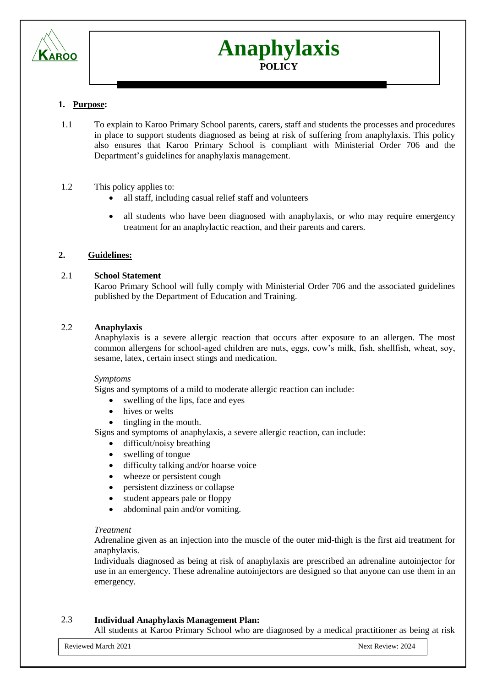

# **Anaphylaxis POLICY**

# **1. Purpose:**

1.1 To explain to Karoo Primary School parents, carers, staff and students the processes and procedures in place to support students diagnosed as being at risk of suffering from anaphylaxis. This policy also ensures that Karoo Primary School is compliant with Ministerial Order 706 and the Department's guidelines for anaphylaxis management.

# 1.2 This policy applies to:

- all staff, including casual relief staff and volunteers
- all students who have been diagnosed with anaphylaxis, or who may require emergency treatment for an anaphylactic reaction, and their parents and carers.

# **2. Guidelines:**

# 2.1 **School Statement**

Karoo Primary School will fully comply with Ministerial Order 706 and the associated guidelines published by the Department of Education and Training.

# 2.2 **Anaphylaxis**

Anaphylaxis is a severe allergic reaction that occurs after exposure to an allergen. The most common allergens for school-aged children are nuts, eggs, cow's milk, fish, shellfish, wheat, soy, sesame, latex, certain insect stings and medication.

# *Symptoms*

Signs and symptoms of a mild to moderate allergic reaction can include:

- swelling of the lips, face and eyes
- hives or welts
- tingling in the mouth.

Signs and symptoms of anaphylaxis, a severe allergic reaction, can include:

- difficult/noisy breathing
- swelling of tongue
- difficulty talking and/or hoarse voice
- wheeze or persistent cough
- persistent dizziness or collapse
- student appears pale or floppy
- abdominal pain and/or vomiting.

# *Treatment*

Adrenaline given as an injection into the muscle of the outer mid-thigh is the first aid treatment for anaphylaxis.

Individuals diagnosed as being at risk of anaphylaxis are prescribed an adrenaline autoinjector for use in an emergency. These adrenaline autoinjectors are designed so that anyone can use them in an emergency.

# 2.3 **Individual Anaphylaxis Management Plan:**

All students at Karoo Primary School who are diagnosed by a medical practitioner as being at risk

Reviewed March 2021 2024 2024 Next Review: 2024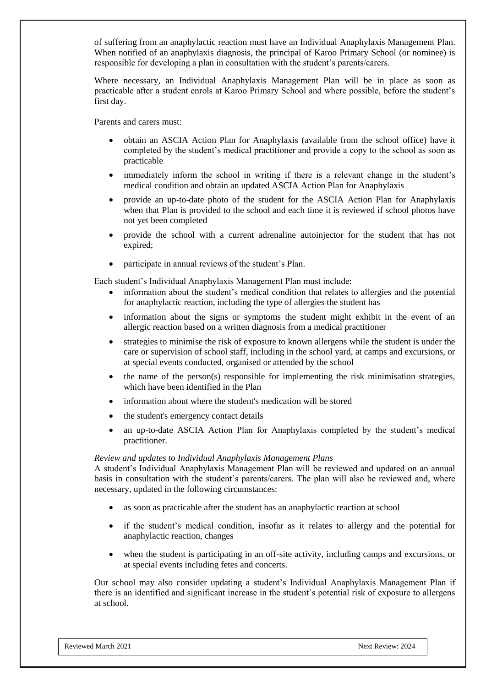of suffering from an anaphylactic reaction must have an Individual Anaphylaxis Management Plan. When notified of an anaphylaxis diagnosis, the principal of Karoo Primary School (or nominee) is responsible for developing a plan in consultation with the student's parents/carers.

Where necessary, an Individual Anaphylaxis Management Plan will be in place as soon as practicable after a student enrols at Karoo Primary School and where possible, before the student's first day.

Parents and carers must:

- obtain an ASCIA Action Plan for Anaphylaxis (available from the school office) have it completed by the student's medical practitioner and provide a copy to the school as soon as practicable
- immediately inform the school in writing if there is a relevant change in the student's medical condition and obtain an updated ASCIA Action Plan for Anaphylaxis
- provide an up-to-date photo of the student for the ASCIA Action Plan for Anaphylaxis when that Plan is provided to the school and each time it is reviewed if school photos have not yet been completed
- provide the school with a current adrenaline autoinjector for the student that has not expired;
- participate in annual reviews of the student's Plan.

Each student's Individual Anaphylaxis Management Plan must include:

- information about the student's medical condition that relates to allergies and the potential for anaphylactic reaction, including the type of allergies the student has
- information about the signs or symptoms the student might exhibit in the event of an allergic reaction based on a written diagnosis from a medical practitioner
- strategies to minimise the risk of exposure to known allergens while the student is under the care or supervision of school staff, including in the school yard, at camps and excursions, or at special events conducted, organised or attended by the school
- the name of the person(s) responsible for implementing the risk minimisation strategies, which have been identified in the Plan
- information about where the student's medication will be stored
- the student's emergency contact details
- an up-to-date ASCIA Action Plan for Anaphylaxis completed by the student's medical practitioner.

### *Review and updates to Individual Anaphylaxis Management Plans*

A student's Individual Anaphylaxis Management Plan will be reviewed and updated on an annual basis in consultation with the student's parents/carers. The plan will also be reviewed and, where necessary, updated in the following circumstances:

- as soon as practicable after the student has an anaphylactic reaction at school
- if the student's medical condition, insofar as it relates to allergy and the potential for anaphylactic reaction, changes
- when the student is participating in an off-site activity, including camps and excursions, or at special events including fetes and concerts.

Our school may also consider updating a student's Individual Anaphylaxis Management Plan if there is an identified and significant increase in the student's potential risk of exposure to allergens at school.

Reviewed March 2021 2024 2024 2024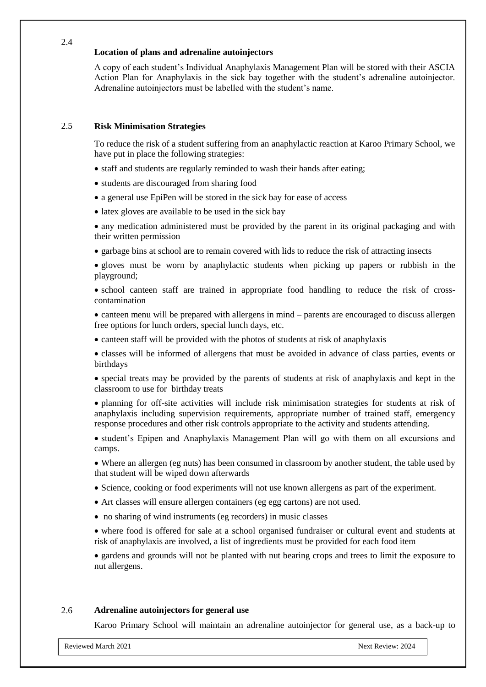# **Location of plans and adrenaline autoinjectors**

A copy of each student's Individual Anaphylaxis Management Plan will be stored with their ASCIA Action Plan for Anaphylaxis in the sick bay together with the student's adrenaline autoinjector. Adrenaline autoinjectors must be labelled with the student's name.

# 2.5 **Risk Minimisation Strategies**

2.4

To reduce the risk of a student suffering from an anaphylactic reaction at Karoo Primary School, we have put in place the following strategies:

- staff and students are regularly reminded to wash their hands after eating:
- students are discouraged from sharing food
- a general use EpiPen will be stored in the sick bay for ease of access
- latex gloves are available to be used in the sick bay

 any medication administered must be provided by the parent in its original packaging and with their written permission

garbage bins at school are to remain covered with lids to reduce the risk of attracting insects

 gloves must be worn by anaphylactic students when picking up papers or rubbish in the playground;

 school canteen staff are trained in appropriate food handling to reduce the risk of crosscontamination

 canteen menu will be prepared with allergens in mind – parents are encouraged to discuss allergen free options for lunch orders, special lunch days, etc.

canteen staff will be provided with the photos of students at risk of anaphylaxis

 classes will be informed of allergens that must be avoided in advance of class parties, events or birthdays

 special treats may be provided by the parents of students at risk of anaphylaxis and kept in the classroom to use for birthday treats

 planning for off-site activities will include risk minimisation strategies for students at risk of anaphylaxis including supervision requirements, appropriate number of trained staff, emergency response procedures and other risk controls appropriate to the activity and students attending.

 student's Epipen and Anaphylaxis Management Plan will go with them on all excursions and camps.

 Where an allergen (eg nuts) has been consumed in classroom by another student, the table used by that student will be wiped down afterwards

- Science, cooking or food experiments will not use known allergens as part of the experiment.
- Art classes will ensure allergen containers (eg egg cartons) are not used.
- no sharing of wind instruments (eg recorders) in music classes

 where food is offered for sale at a school organised fundraiser or cultural event and students at risk of anaphylaxis are involved, a list of ingredients must be provided for each food item

 gardens and grounds will not be planted with nut bearing crops and trees to limit the exposure to nut allergens.

### 2.6 **Adrenaline autoinjectors for general use**

Karoo Primary School will maintain an adrenaline autoinjector for general use, as a back-up to

Reviewed March 2021 **Next Review: 2024** Next Review: 2024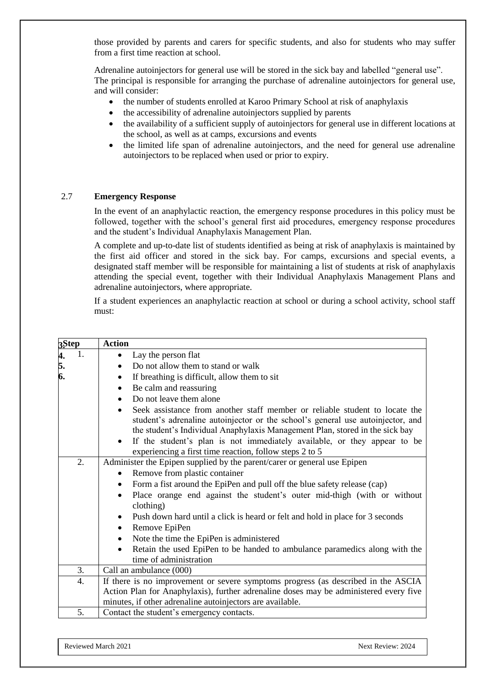those provided by parents and carers for specific students, and also for students who may suffer from a first time reaction at school.

Adrenaline autoinjectors for general use will be stored in the sick bay and labelled "general use". The principal is responsible for arranging the purchase of adrenaline autoinjectors for general use, and will consider:

- the number of students enrolled at Karoo Primary School at risk of anaphylaxis
- the accessibility of adrenaline autoinjectors supplied by parents
- the availability of a sufficient supply of autoinjectors for general use in different locations at the school, as well as at camps, excursions and events
- the limited life span of adrenaline autoinjectors, and the need for general use adrenaline autoinjectors to be replaced when used or prior to expiry.

# 2.7 **Emergency Response**

In the event of an anaphylactic reaction, the emergency response procedures in this policy must be followed, together with the school's general first aid procedures, emergency response procedures and the student's Individual Anaphylaxis Management Plan.

A complete and up-to-date list of students identified as being at risk of anaphylaxis is maintained by the first aid officer and stored in the sick bay. For camps, excursions and special events, a designated staff member will be responsible for maintaining a list of students at risk of anaphylaxis attending the special event, together with their Individual Anaphylaxis Management Plans and adrenaline autoinjectors, where appropriate.

If a student experiences an anaphylactic reaction at school or during a school activity, school staff must:

| 3Step          | <b>Action</b>                                                                                                                                                                                                                                               |
|----------------|-------------------------------------------------------------------------------------------------------------------------------------------------------------------------------------------------------------------------------------------------------------|
| 1.             | Lay the person flat<br>٠                                                                                                                                                                                                                                    |
| 4.<br>5.<br>6. | Do not allow them to stand or walk<br>$\bullet$                                                                                                                                                                                                             |
|                | If breathing is difficult, allow them to sit<br>$\bullet$                                                                                                                                                                                                   |
|                | Be calm and reassuring<br>$\bullet$                                                                                                                                                                                                                         |
|                | Do not leave them alone<br>$\bullet$                                                                                                                                                                                                                        |
|                | Seek assistance from another staff member or reliable student to locate the<br>$\bullet$<br>student's adrenaline autoinjector or the school's general use autoinjector, and<br>the student's Individual Anaphylaxis Management Plan, stored in the sick bay |
|                | If the student's plan is not immediately available, or they appear to be<br>$\bullet$<br>experiencing a first time reaction, follow steps 2 to 5                                                                                                            |
| 2.             | Administer the Epipen supplied by the parent/carer or general use Epipen                                                                                                                                                                                    |
|                | Remove from plastic container<br>$\bullet$                                                                                                                                                                                                                  |
|                | Form a fist around the EpiPen and pull off the blue safety release (cap)<br>$\bullet$                                                                                                                                                                       |
|                | Place orange end against the student's outer mid-thigh (with or without<br>$\bullet$<br>clothing)                                                                                                                                                           |
|                | Push down hard until a click is heard or felt and hold in place for 3 seconds<br>$\bullet$                                                                                                                                                                  |
|                | Remove EpiPen<br>$\bullet$                                                                                                                                                                                                                                  |
|                | Note the time the EpiPen is administered<br>$\bullet$                                                                                                                                                                                                       |
|                | Retain the used EpiPen to be handed to ambulance paramedics along with the<br>$\bullet$                                                                                                                                                                     |
|                | time of administration                                                                                                                                                                                                                                      |
| 3.             | Call an ambulance (000)                                                                                                                                                                                                                                     |
| 4.             | If there is no improvement or severe symptoms progress (as described in the ASCIA                                                                                                                                                                           |
|                | Action Plan for Anaphylaxis), further adrenaline doses may be administered every five                                                                                                                                                                       |
|                | minutes, if other adrenaline autoinjectors are available.                                                                                                                                                                                                   |
| 5.             | Contact the student's emergency contacts.                                                                                                                                                                                                                   |

Reviewed March 2021 2024 Next Review: 2024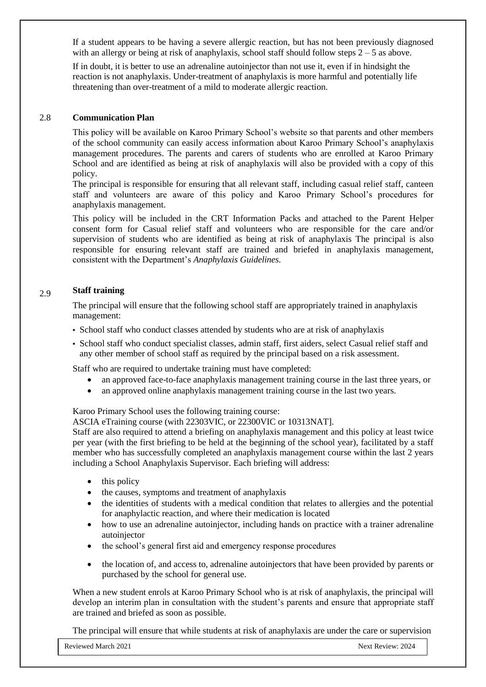If a student appears to be having a severe allergic reaction, but has not been previously diagnosed with an allergy or being at risk of anaphylaxis, school staff should follow steps  $2 - 5$  as above.

If in doubt, it is better to use an adrenaline autoinjector than not use it, even if in hindsight the reaction is not anaphylaxis. Under-treatment of anaphylaxis is more harmful and potentially life threatening than over-treatment of a mild to moderate allergic reaction.

#### 2.8 **Communication Plan**

This policy will be available on Karoo Primary School's website so that parents and other members of the school community can easily access information about Karoo Primary School's anaphylaxis management procedures. The parents and carers of students who are enrolled at Karoo Primary School and are identified as being at risk of anaphylaxis will also be provided with a copy of this policy.

The principal is responsible for ensuring that all relevant staff, including casual relief staff, canteen staff and volunteers are aware of this policy and Karoo Primary School's procedures for anaphylaxis management.

This policy will be included in the CRT Information Packs and attached to the Parent Helper consent form for Casual relief staff and volunteers who are responsible for the care and/or supervision of students who are identified as being at risk of anaphylaxis The principal is also responsible for ensuring relevant staff are trained and briefed in anaphylaxis management, consistent with the Department's *Anaphylaxis Guidelines.*

#### 2.9 **Staff training**

The principal will ensure that the following school staff are appropriately trained in anaphylaxis management:

- School staff who conduct classes attended by students who are at risk of anaphylaxis
- School staff who conduct specialist classes, admin staff, first aiders, select Casual relief staff and any other member of school staff as required by the principal based on a risk assessment.

Staff who are required to undertake training must have completed:

- an approved face-to-face anaphylaxis management training course in the last three years, or
- an approved online anaphylaxis management training course in the last two years.

Karoo Primary School uses the following training course:

ASCIA eTraining course (with 22303VIC, or 22300VIC or 10313NAT].

Staff are also required to attend a briefing on anaphylaxis management and this policy at least twice per year (with the first briefing to be held at the beginning of the school year), facilitated by a staff member who has successfully completed an anaphylaxis management course within the last 2 years including a School Anaphylaxis Supervisor. Each briefing will address:

- $\bullet$  this policy
- the causes, symptoms and treatment of anaphylaxis
- the identities of students with a medical condition that relates to allergies and the potential for anaphylactic reaction, and where their medication is located
- how to use an adrenaline autoinjector, including hands on practice with a trainer adrenaline autoinjector
- the school's general first aid and emergency response procedures
- the location of, and access to, adrenaline autoinjectors that have been provided by parents or purchased by the school for general use.

When a new student enrols at Karoo Primary School who is at risk of anaphylaxis, the principal will develop an interim plan in consultation with the student's parents and ensure that appropriate staff are trained and briefed as soon as possible.

The principal will ensure that while students at risk of anaphylaxis are under the care or supervision

Reviewed March 2021 2024 2024 2024